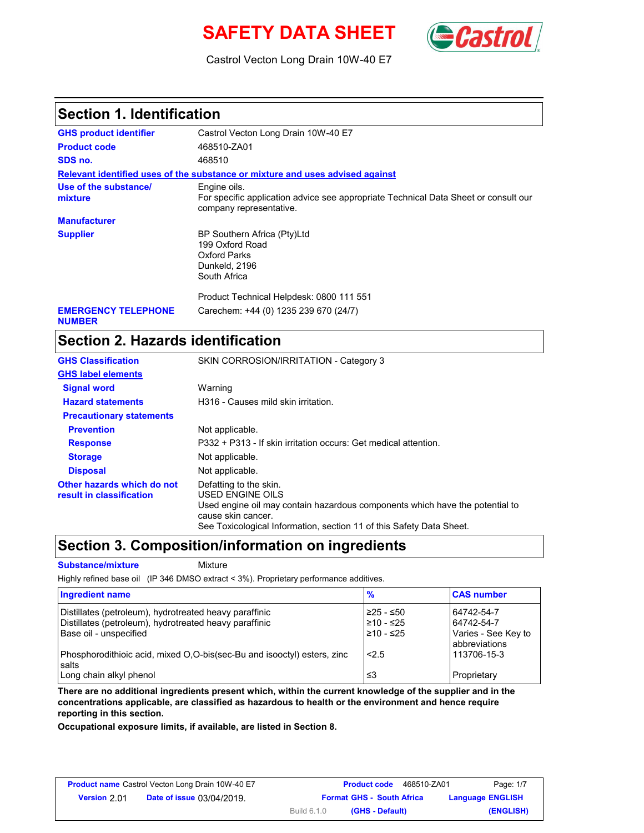# **SAFETY DATA SHEET** (**Cast**



Castrol Vecton Long Drain 10W-40 E7

### **Section 1. Identification**

| <b>GHS product identifier</b>               | Castrol Vecton Long Drain 10W-40 E7                                                                                            |
|---------------------------------------------|--------------------------------------------------------------------------------------------------------------------------------|
| <b>Product code</b>                         | 468510-ZA01                                                                                                                    |
| SDS no.                                     | 468510                                                                                                                         |
|                                             | Relevant identified uses of the substance or mixture and uses advised against                                                  |
| Use of the substance/<br>mixture            | Engine oils.<br>For specific application advice see appropriate Technical Data Sheet or consult our<br>company representative. |
| <b>Manufacturer</b>                         |                                                                                                                                |
| <b>Supplier</b>                             | BP Southern Africa (Pty)Ltd<br>199 Oxford Road<br>Oxford Parks<br>Dunkeld, 2196<br>South Africa                                |
|                                             | Product Technical Helpdesk: 0800 111 551                                                                                       |
| <b>EMERGENCY TELEPHONE</b><br><b>NUMBER</b> | Carechem: +44 (0) 1235 239 670 (24/7)                                                                                          |

## **Section 2. Hazards identification**

| <b>GHS Classification</b>                              | SKIN CORROSION/IRRITATION - Category 3                                                                                                                                                                                   |
|--------------------------------------------------------|--------------------------------------------------------------------------------------------------------------------------------------------------------------------------------------------------------------------------|
| <b>GHS label elements</b>                              |                                                                                                                                                                                                                          |
| <b>Signal word</b>                                     | Warning                                                                                                                                                                                                                  |
| <b>Hazard statements</b>                               | H316 - Causes mild skin irritation.                                                                                                                                                                                      |
| <b>Precautionary statements</b>                        |                                                                                                                                                                                                                          |
| <b>Prevention</b>                                      | Not applicable.                                                                                                                                                                                                          |
| <b>Response</b>                                        | P332 + P313 - If skin irritation occurs: Get medical attention.                                                                                                                                                          |
| <b>Storage</b>                                         | Not applicable.                                                                                                                                                                                                          |
| <b>Disposal</b>                                        | Not applicable.                                                                                                                                                                                                          |
| Other hazards which do not<br>result in classification | Defatting to the skin.<br>USED ENGINE OILS<br>Used engine oil may contain hazardous components which have the potential to<br>cause skin cancer.<br>See Toxicological Information, section 11 of this Safety Data Sheet. |

### **Section 3. Composition/information on ingredients**

**Substance/mixture** Mixture

Highly refined base oil (IP 346 DMSO extract < 3%). Proprietary performance additives.

| Ingredient name                                                                                                                            | $\frac{9}{6}$                         | <b>CAS number</b>                                                       |
|--------------------------------------------------------------------------------------------------------------------------------------------|---------------------------------------|-------------------------------------------------------------------------|
| Distillates (petroleum), hydrotreated heavy paraffinic<br>Distillates (petroleum), hydrotreated heavy paraffinic<br>Base oil - unspecified | $≥25 - ≤50$<br>≥10 - ≤25<br>≥10 - ≤25 | 64742-54-7<br>64742-54-7<br>Varies - See Key to<br><b>abbreviations</b> |
| Phosphorodithioic acid, mixed O.O-bis(sec-Bu and isooctyl) esters, zinc<br>salts<br>Long chain alkyl phenol                                | < 2.5<br>≤3                           | 113706-15-3<br>Proprietary                                              |

**There are no additional ingredients present which, within the current knowledge of the supplier and in the concentrations applicable, are classified as hazardous to health or the environment and hence require reporting in this section.**

**Occupational exposure limits, if available, are listed in Section 8.**

| <b>Product name</b> Castrol Vecton Long Drain 10W-40 E7 |                                  |                    | <b>Product code</b> | 468510-ZA01                      | Page: 1/7               |
|---------------------------------------------------------|----------------------------------|--------------------|---------------------|----------------------------------|-------------------------|
| Version 2.01                                            | <b>Date of issue 03/04/2019.</b> |                    |                     | <b>Format GHS - South Africa</b> | <b>Language ENGLISH</b> |
|                                                         |                                  | <b>Build 6.1.0</b> |                     | (GHS - Default)                  | (ENGLISH)               |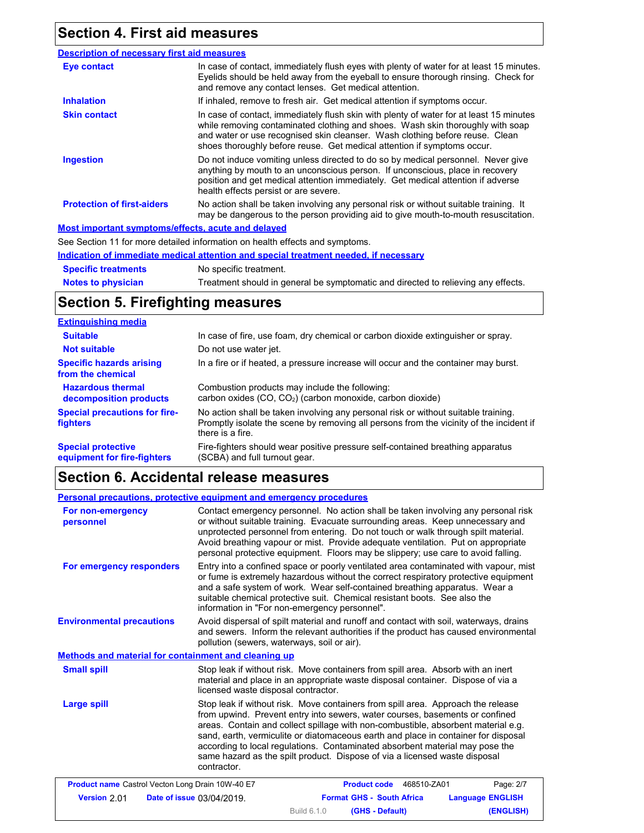# **Section 4. First aid measures**

| <b>Description of necessary first aid measures</b> |                                                                                                                                                                                                                                                                                                                                      |
|----------------------------------------------------|--------------------------------------------------------------------------------------------------------------------------------------------------------------------------------------------------------------------------------------------------------------------------------------------------------------------------------------|
| Eye contact                                        | In case of contact, immediately flush eyes with plenty of water for at least 15 minutes.<br>Eyelids should be held away from the eyeball to ensure thorough rinsing. Check for<br>and remove any contact lenses. Get medical attention.                                                                                              |
| <b>Inhalation</b>                                  | If inhaled, remove to fresh air. Get medical attention if symptoms occur.                                                                                                                                                                                                                                                            |
| <b>Skin contact</b>                                | In case of contact, immediately flush skin with plenty of water for at least 15 minutes<br>while removing contaminated clothing and shoes. Wash skin thoroughly with soap<br>and water or use recognised skin cleanser. Wash clothing before reuse. Clean<br>shoes thoroughly before reuse. Get medical attention if symptoms occur. |
| <b>Ingestion</b>                                   | Do not induce vomiting unless directed to do so by medical personnel. Never give<br>anything by mouth to an unconscious person. If unconscious, place in recovery<br>position and get medical attention immediately. Get medical attention if adverse<br>health effects persist or are severe.                                       |
| <b>Protection of first-aiders</b>                  | No action shall be taken involving any personal risk or without suitable training. It<br>may be dangerous to the person providing aid to give mouth-to-mouth resuscitation.                                                                                                                                                          |
| Most important symptoms/effects, acute and delayed |                                                                                                                                                                                                                                                                                                                                      |
|                                                    | See Section 11 for more detailed information on health effects and symptoms.                                                                                                                                                                                                                                                         |
|                                                    | Indication of immediate medical attention and special treatment needed, if necessary                                                                                                                                                                                                                                                 |

**Notes to physician Specific treatments** No specific treatment. Treatment should in general be symptomatic and directed to relieving any effects.

## **Section 5. Firefighting measures**

| <b>Extinguishing media</b>                               |                                                                                                                                                                                                   |
|----------------------------------------------------------|---------------------------------------------------------------------------------------------------------------------------------------------------------------------------------------------------|
| <b>Suitable</b>                                          | In case of fire, use foam, dry chemical or carbon dioxide extinguisher or spray.                                                                                                                  |
| <b>Not suitable</b>                                      | Do not use water jet.                                                                                                                                                                             |
| <b>Specific hazards arising</b><br>from the chemical     | In a fire or if heated, a pressure increase will occur and the container may burst.                                                                                                               |
| <b>Hazardous thermal</b><br>decomposition products       | Combustion products may include the following:<br>carbon oxides (CO, CO <sub>2</sub> ) (carbon monoxide, carbon dioxide)                                                                          |
| <b>Special precautions for fire-</b><br><b>fighters</b>  | No action shall be taken involving any personal risk or without suitable training.<br>Promptly isolate the scene by removing all persons from the vicinity of the incident if<br>there is a fire. |
| <b>Special protective</b><br>equipment for fire-fighters | Fire-fighters should wear positive pressure self-contained breathing apparatus<br>(SCBA) and full turnout gear.                                                                                   |

## **Section 6. Accidental release measures**

|                                                         | <b>Personal precautions, protective equipment and emergency procedures</b>                                                                                                                                                                                                                                                                                                                                                                                                                                               |
|---------------------------------------------------------|--------------------------------------------------------------------------------------------------------------------------------------------------------------------------------------------------------------------------------------------------------------------------------------------------------------------------------------------------------------------------------------------------------------------------------------------------------------------------------------------------------------------------|
| For non-emergency<br>personnel                          | Contact emergency personnel. No action shall be taken involving any personal risk<br>or without suitable training. Evacuate surrounding areas. Keep unnecessary and<br>unprotected personnel from entering. Do not touch or walk through spilt material.<br>Avoid breathing vapour or mist. Provide adequate ventilation. Put on appropriate<br>personal protective equipment. Floors may be slippery; use care to avoid falling.                                                                                        |
| For emergency responders                                | Entry into a confined space or poorly ventilated area contaminated with vapour, mist<br>or fume is extremely hazardous without the correct respiratory protective equipment<br>and a safe system of work. Wear self-contained breathing apparatus. Wear a<br>suitable chemical protective suit. Chemical resistant boots. See also the<br>information in "For non-emergency personnel".                                                                                                                                  |
| <b>Environmental precautions</b>                        | Avoid dispersal of spilt material and runoff and contact with soil, waterways, drains<br>and sewers. Inform the relevant authorities if the product has caused environmental<br>pollution (sewers, waterways, soil or air).                                                                                                                                                                                                                                                                                              |
| Methods and material for containment and cleaning up    |                                                                                                                                                                                                                                                                                                                                                                                                                                                                                                                          |
| <b>Small spill</b>                                      | Stop leak if without risk. Move containers from spill area. Absorb with an inert<br>material and place in an appropriate waste disposal container. Dispose of via a<br>licensed waste disposal contractor.                                                                                                                                                                                                                                                                                                               |
| Large spill                                             | Stop leak if without risk. Move containers from spill area. Approach the release<br>from upwind. Prevent entry into sewers, water courses, basements or confined<br>areas. Contain and collect spillage with non-combustible, absorbent material e.g.<br>sand, earth, vermiculite or diatomaceous earth and place in container for disposal<br>according to local regulations. Contaminated absorbent material may pose the<br>same hazard as the spilt product. Dispose of via a licensed waste disposal<br>contractor. |
| <b>Product name</b> Castrol Vecton Long Drain 10W-40 E7 | Product code 468510-ZA01<br>Page: 2/7                                                                                                                                                                                                                                                                                                                                                                                                                                                                                    |
| Version 2.01                                            | <b>Format GHS - South Africa</b><br><b>Language ENGLISH</b><br>Date of issue 03/04/2019.                                                                                                                                                                                                                                                                                                                                                                                                                                 |
|                                                         | (ENGLISH)<br><b>Build 6.1.0</b><br>(GHS - Default)                                                                                                                                                                                                                                                                                                                                                                                                                                                                       |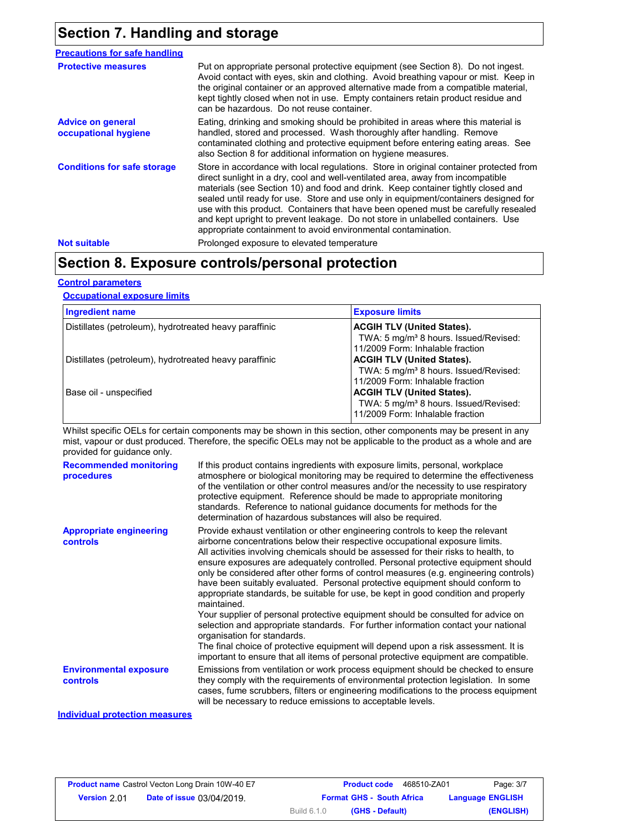# **Section 7. Handling and storage**

| <b>Precautions for safe handling</b>             |                                                                                                                                                                                                                                                                                                                                                                                                                                                                                                                                                                                                |
|--------------------------------------------------|------------------------------------------------------------------------------------------------------------------------------------------------------------------------------------------------------------------------------------------------------------------------------------------------------------------------------------------------------------------------------------------------------------------------------------------------------------------------------------------------------------------------------------------------------------------------------------------------|
| <b>Protective measures</b>                       | Put on appropriate personal protective equipment (see Section 8). Do not ingest.<br>Avoid contact with eyes, skin and clothing. Avoid breathing vapour or mist. Keep in<br>the original container or an approved alternative made from a compatible material,<br>kept tightly closed when not in use. Empty containers retain product residue and<br>can be hazardous. Do not reuse container.                                                                                                                                                                                                 |
| <b>Advice on general</b><br>occupational hygiene | Eating, drinking and smoking should be prohibited in areas where this material is<br>handled, stored and processed. Wash thoroughly after handling. Remove<br>contaminated clothing and protective equipment before entering eating areas. See<br>also Section 8 for additional information on hygiene measures.                                                                                                                                                                                                                                                                               |
| <b>Conditions for safe storage</b>               | Store in accordance with local regulations. Store in original container protected from<br>direct sunlight in a dry, cool and well-ventilated area, away from incompatible<br>materials (see Section 10) and food and drink. Keep container tightly closed and<br>sealed until ready for use. Store and use only in equipment/containers designed for<br>use with this product. Containers that have been opened must be carefully resealed<br>and kept upright to prevent leakage. Do not store in unlabelled containers. Use<br>appropriate containment to avoid environmental contamination. |
| <b>Not suitable</b>                              | Prolonged exposure to elevated temperature                                                                                                                                                                                                                                                                                                                                                                                                                                                                                                                                                     |

# **Section 8. Exposure controls/personal protection**

### **Control parameters**

### **Occupational exposure limits**

| <b>Ingredient name</b>                                 | <b>Exposure limits</b>                                                                                                     |
|--------------------------------------------------------|----------------------------------------------------------------------------------------------------------------------------|
| Distillates (petroleum), hydrotreated heavy paraffinic | <b>ACGIH TLV (United States).</b><br>TWA: 5 mg/m <sup>3</sup> 8 hours. Issued/Revised:<br>11/2009 Form: Inhalable fraction |
| Distillates (petroleum), hydrotreated heavy paraffinic | <b>ACGIH TLV (United States).</b><br>TWA: 5 mg/m <sup>3</sup> 8 hours. Issued/Revised:<br>11/2009 Form: Inhalable fraction |
| Base oil - unspecified                                 | <b>ACGIH TLV (United States).</b><br>TWA: 5 mg/m <sup>3</sup> 8 hours. Issued/Revised:<br>11/2009 Form: Inhalable fraction |

Whilst specific OELs for certain components may be shown in this section, other components may be present in any mist, vapour or dust produced. Therefore, the specific OELs may not be applicable to the product as a whole and are provided for guidance only.

| <b>Recommended monitoring</b><br>procedures       | If this product contains ingredients with exposure limits, personal, workplace<br>atmosphere or biological monitoring may be required to determine the effectiveness<br>of the ventilation or other control measures and/or the necessity to use respiratory<br>protective equipment. Reference should be made to appropriate monitoring<br>standards. Reference to national quidance documents for methods for the<br>determination of hazardous substances will also be required.                                                                                                                                                                                                                                                                                                                                                                                                                                                                                                                           |
|---------------------------------------------------|---------------------------------------------------------------------------------------------------------------------------------------------------------------------------------------------------------------------------------------------------------------------------------------------------------------------------------------------------------------------------------------------------------------------------------------------------------------------------------------------------------------------------------------------------------------------------------------------------------------------------------------------------------------------------------------------------------------------------------------------------------------------------------------------------------------------------------------------------------------------------------------------------------------------------------------------------------------------------------------------------------------|
| <b>Appropriate engineering</b><br><b>controls</b> | Provide exhaust ventilation or other engineering controls to keep the relevant<br>airborne concentrations below their respective occupational exposure limits.<br>All activities involving chemicals should be assessed for their risks to health, to<br>ensure exposures are adequately controlled. Personal protective equipment should<br>only be considered after other forms of control measures (e.g. engineering controls)<br>have been suitably evaluated. Personal protective equipment should conform to<br>appropriate standards, be suitable for use, be kept in good condition and properly<br>maintained.<br>Your supplier of personal protective equipment should be consulted for advice on<br>selection and appropriate standards. For further information contact your national<br>organisation for standards.<br>The final choice of protective equipment will depend upon a risk assessment. It is<br>important to ensure that all items of personal protective equipment are compatible. |
| <b>Environmental exposure</b><br>controls         | Emissions from ventilation or work process equipment should be checked to ensure<br>they comply with the requirements of environmental protection legislation. In some<br>cases, fume scrubbers, filters or engineering modifications to the process equipment<br>will be necessary to reduce emissions to acceptable levels.                                                                                                                                                                                                                                                                                                                                                                                                                                                                                                                                                                                                                                                                                 |

### **Individual protection measures**

|                     | <b>Product name</b> Castrol Vecton Long Drain 10W-40 E7 |                    | <b>Product code</b>              | 468510-ZA01 | Page: 3/7               |
|---------------------|---------------------------------------------------------|--------------------|----------------------------------|-------------|-------------------------|
| <b>Version 2.01</b> | <b>Date of issue 03/04/2019.</b>                        |                    | <b>Format GHS - South Africa</b> |             | <b>Language ENGLISH</b> |
|                     |                                                         | <b>Build 6.1.0</b> | (GHS - Default)                  |             | (ENGLISH)               |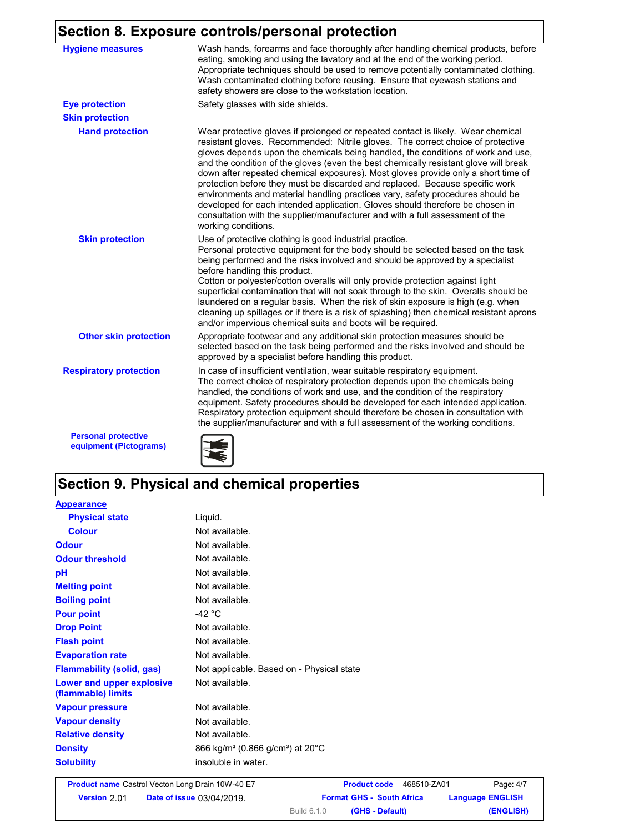## **Section 8. Exposure controls/personal protection**

| <b>Hygiene measures</b>                              | Wash hands, forearms and face thoroughly after handling chemical products, before<br>eating, smoking and using the lavatory and at the end of the working period.<br>Appropriate techniques should be used to remove potentially contaminated clothing.<br>Wash contaminated clothing before reusing. Ensure that eyewash stations and<br>safety showers are close to the workstation location.                                                                                                                                                                                                                                                                                                                                                                                                 |
|------------------------------------------------------|-------------------------------------------------------------------------------------------------------------------------------------------------------------------------------------------------------------------------------------------------------------------------------------------------------------------------------------------------------------------------------------------------------------------------------------------------------------------------------------------------------------------------------------------------------------------------------------------------------------------------------------------------------------------------------------------------------------------------------------------------------------------------------------------------|
| <b>Eye protection</b>                                | Safety glasses with side shields.                                                                                                                                                                                                                                                                                                                                                                                                                                                                                                                                                                                                                                                                                                                                                               |
| <b>Skin protection</b>                               |                                                                                                                                                                                                                                                                                                                                                                                                                                                                                                                                                                                                                                                                                                                                                                                                 |
| <b>Hand protection</b>                               | Wear protective gloves if prolonged or repeated contact is likely. Wear chemical<br>resistant gloves. Recommended: Nitrile gloves. The correct choice of protective<br>gloves depends upon the chemicals being handled, the conditions of work and use,<br>and the condition of the gloves (even the best chemically resistant glove will break<br>down after repeated chemical exposures). Most gloves provide only a short time of<br>protection before they must be discarded and replaced. Because specific work<br>environments and material handling practices vary, safety procedures should be<br>developed for each intended application. Gloves should therefore be chosen in<br>consultation with the supplier/manufacturer and with a full assessment of the<br>working conditions. |
| <b>Skin protection</b>                               | Use of protective clothing is good industrial practice.<br>Personal protective equipment for the body should be selected based on the task<br>being performed and the risks involved and should be approved by a specialist<br>before handling this product.<br>Cotton or polyester/cotton overalls will only provide protection against light<br>superficial contamination that will not soak through to the skin. Overalls should be<br>laundered on a regular basis. When the risk of skin exposure is high (e.g. when<br>cleaning up spillages or if there is a risk of splashing) then chemical resistant aprons<br>and/or impervious chemical suits and boots will be required.                                                                                                           |
| <b>Other skin protection</b>                         | Appropriate footwear and any additional skin protection measures should be<br>selected based on the task being performed and the risks involved and should be<br>approved by a specialist before handling this product.                                                                                                                                                                                                                                                                                                                                                                                                                                                                                                                                                                         |
| <b>Respiratory protection</b>                        | In case of insufficient ventilation, wear suitable respiratory equipment.<br>The correct choice of respiratory protection depends upon the chemicals being<br>handled, the conditions of work and use, and the condition of the respiratory<br>equipment. Safety procedures should be developed for each intended application.<br>Respiratory protection equipment should therefore be chosen in consultation with<br>the supplier/manufacturer and with a full assessment of the working conditions.                                                                                                                                                                                                                                                                                           |
| <b>Personal protective</b><br>equipment (Pictograms) |                                                                                                                                                                                                                                                                                                                                                                                                                                                                                                                                                                                                                                                                                                                                                                                                 |

# **Section 9. Physical and chemical properties**

| <b>Appearance</b>                               |                                                                       |
|-------------------------------------------------|-----------------------------------------------------------------------|
| <b>Physical state</b>                           | Liquid.                                                               |
| <b>Colour</b>                                   | Not available.                                                        |
| <b>Odour</b>                                    | Not available.                                                        |
| <b>Odour threshold</b>                          | Not available.                                                        |
| рH                                              | Not available.                                                        |
| <b>Melting point</b>                            | Not available.                                                        |
| <b>Boiling point</b>                            | Not available.                                                        |
| <b>Pour point</b>                               | -42 $^{\circ}$ C                                                      |
| <b>Drop Point</b>                               | Not available.                                                        |
| <b>Flash point</b>                              | Not available.                                                        |
| <b>Evaporation rate</b>                         | Not available.                                                        |
| <b>Flammability (solid, gas)</b>                | Not applicable. Based on - Physical state                             |
| Lower and upper explosive<br>(flammable) limits | Not available.                                                        |
| <b>Vapour pressure</b>                          | Not available.                                                        |
| <b>Vapour density</b>                           | Not available.                                                        |
| <b>Relative density</b>                         | Not available.                                                        |
| <b>Density</b>                                  | 866 kg/m <sup>3</sup> (0.866 g/cm <sup>3</sup> ) at 20 <sup>°</sup> C |
| <b>Solubility</b>                               | insoluble in water.                                                   |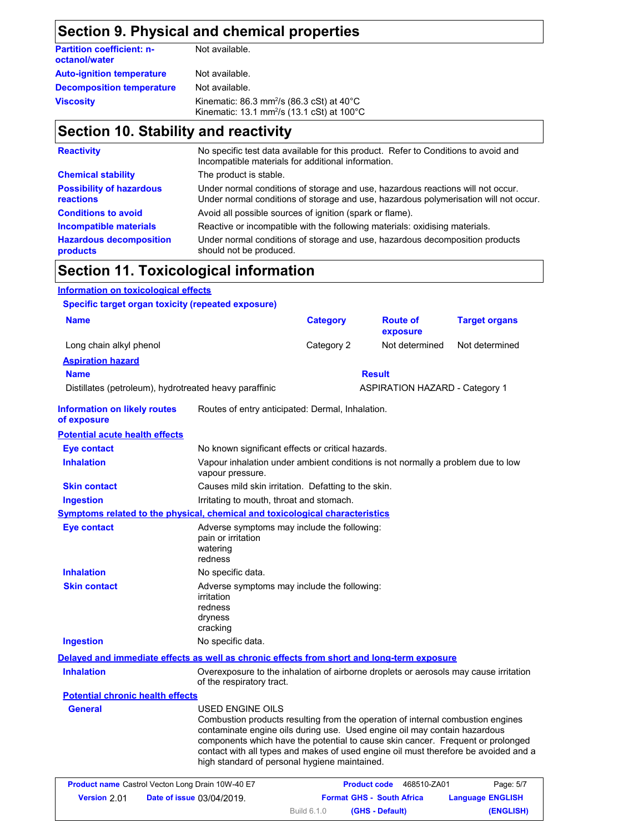### **Section 9. Physical and chemical properties**

| <b>Partition coefficient: n-</b><br>octanol/water | Not available.                                                                                                            |
|---------------------------------------------------|---------------------------------------------------------------------------------------------------------------------------|
| <b>Auto-ignition temperature</b>                  | Not available.                                                                                                            |
| <b>Decomposition temperature</b>                  | Not available.                                                                                                            |
| <b>Viscosity</b>                                  | Kinematic: 86.3 mm <sup>2</sup> /s (86.3 cSt) at $40^{\circ}$ C<br>Kinematic: 13.1 mm <sup>2</sup> /s (13.1 cSt) at 100°C |

### **Section 10. Stability and reactivity**

| <b>Reactivity</b>                                   | No specific test data available for this product. Refer to Conditions to avoid and<br>Incompatible materials for additional information.                                |
|-----------------------------------------------------|-------------------------------------------------------------------------------------------------------------------------------------------------------------------------|
| <b>Chemical stability</b>                           | The product is stable.                                                                                                                                                  |
| <b>Possibility of hazardous</b><br><b>reactions</b> | Under normal conditions of storage and use, hazardous reactions will not occur.<br>Under normal conditions of storage and use, hazardous polymerisation will not occur. |
| <b>Conditions to avoid</b>                          | Avoid all possible sources of ignition (spark or flame).                                                                                                                |
| <b>Incompatible materials</b>                       | Reactive or incompatible with the following materials: oxidising materials.                                                                                             |
| <b>Hazardous decomposition</b><br>products          | Under normal conditions of storage and use, hazardous decomposition products<br>should not be produced.                                                                 |

## **Section 11. Toxicological information**

### **Information on toxicological effects Specific target organ toxicity (repeated exposure) Aspiration hazard Name Result** Distillates (petroleum), hydrotreated heavy paraffinic **ASPIRATION HAZARD** - Category 1 **Information on likely routes of exposure Inhalation** Vapour inhalation under ambient conditions is not normally a problem due to low vapour pressure. **Ingestion** Irritating to mouth, throat and stomach. **Skin contact** Causes mild skin irritation. Defatting to the skin. **Eye contact** No known significant effects or critical hazards. **Symptoms related to the physical, chemical and toxicological characteristics Skin contact Ingestion Inhalation** No specific data. No specific data. Adverse symptoms may include the following: irritation redness dryness cracking **Eye contact Adverse symptoms may include the following:** pain or irritation watering redness **Delayed and immediate effects as well as chronic effects from short and long-term exposure** Routes of entry anticipated: Dermal, Inhalation. **Potential acute health effects General** USED ENGINE OILS Combustion products resulting from the operation of internal combustion engines contaminate engine oils during use. Used engine oil may contain hazardous components which have the potential to cause skin cancer. Frequent or prolonged contact with all types and makes of used engine oil must therefore be avoided and a **Potential chronic health effects** Overexposure to the inhalation of airborne droplets or aerosols may cause irritation of the respiratory tract. **Inhalation Name Category** Long chain alkyl phenol **Category 2** Not determined Not determined **Route of exposure Target organs**

|                     | <b>Product name</b> Castrol Vecton Long Drain 10W-40 E7 | <b>Product code</b>                   | Page: 5/7<br>468510-ZA01 |
|---------------------|---------------------------------------------------------|---------------------------------------|--------------------------|
| <b>Version 2.01</b> | <b>Date of issue 03/04/2019.</b>                        | <b>Format GHS - South Africa</b>      | <b>Language ENGLISH</b>  |
|                     |                                                         | <b>Build 6.1.0</b><br>(GHS - Default) | (ENGLISH)                |

high standard of personal hygiene maintained.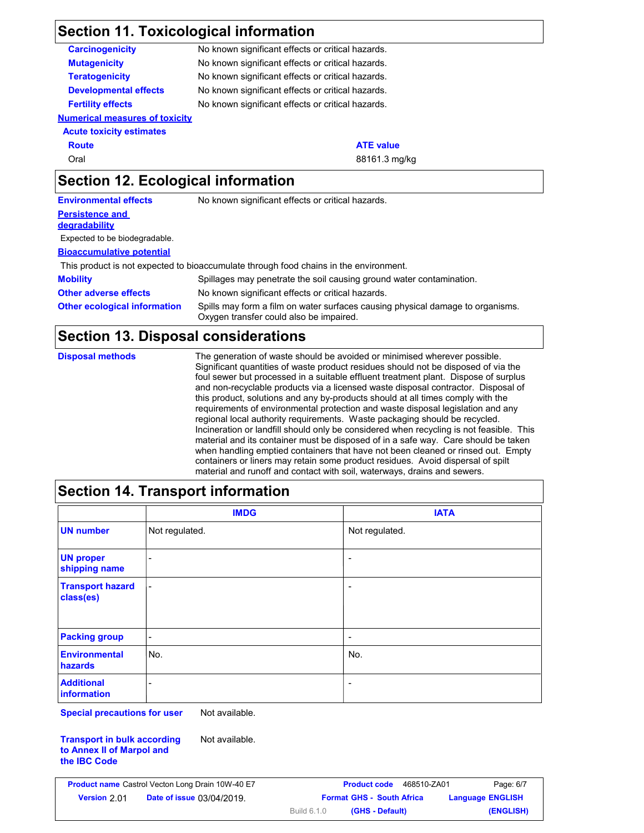# **Section 11. Toxicological information**

| <b>Carcinogenicity</b>                | No known significant effects or critical hazards. |
|---------------------------------------|---------------------------------------------------|
| <b>Mutagenicity</b>                   | No known significant effects or critical hazards. |
| <b>Teratogenicity</b>                 | No known significant effects or critical hazards. |
| <b>Developmental effects</b>          | No known significant effects or critical hazards. |
| <b>Fertility effects</b>              | No known significant effects or critical hazards. |
| <b>Numerical measures of toxicity</b> |                                                   |
| <b>Acute toxicity estimates</b>       |                                                   |
| <b>Route</b>                          | <b>ATE value</b>                                  |
| Oral                                  | 88161.3 mg/kg                                     |
| Section 12. Ecological information    |                                                   |
| <b>Environmental effects</b>          | No known significant effects or critical hazards. |
| <b>Persistence and</b>                |                                                   |
| <b>degradability</b>                  |                                                   |
| Expected to be biodegradable.         |                                                   |
|                                       |                                                   |

**Bioaccumulative potential**

This product is not expected to bioaccumulate through food chains in the environment.

| <b>Mobility</b>                     | Spillages may penetrate the soil causing ground water contamination.                                                      |
|-------------------------------------|---------------------------------------------------------------------------------------------------------------------------|
| <b>Other adverse effects</b>        | No known significant effects or critical hazards.                                                                         |
| <b>Other ecological information</b> | Spills may form a film on water surfaces causing physical damage to organisms.<br>Oxygen transfer could also be impaired. |

## **Section 13. Disposal considerations**

| <b>Disposal methods</b> | The generation of waste should be avoided or minimised wherever possible.<br>Significant quantities of waste product residues should not be disposed of via the<br>foul sewer but processed in a suitable effluent treatment plant. Dispose of surplus<br>and non-recyclable products via a licensed waste disposal contractor. Disposal of<br>this product, solutions and any by-products should at all times comply with the<br>requirements of environmental protection and waste disposal legislation and any<br>regional local authority requirements. Waste packaging should be recycled.<br>Incineration or landfill should only be considered when recycling is not feasible. This<br>material and its container must be disposed of in a safe way. Care should be taken<br>when handling emptied containers that have not been cleaned or rinsed out. Empty |
|-------------------------|----------------------------------------------------------------------------------------------------------------------------------------------------------------------------------------------------------------------------------------------------------------------------------------------------------------------------------------------------------------------------------------------------------------------------------------------------------------------------------------------------------------------------------------------------------------------------------------------------------------------------------------------------------------------------------------------------------------------------------------------------------------------------------------------------------------------------------------------------------------------|
|                         | containers or liners may retain some product residues. Avoid dispersal of spilt<br>material and runoff and contact with soil, waterways, drains and sewers.                                                                                                                                                                                                                                                                                                                                                                                                                                                                                                                                                                                                                                                                                                          |

### **Section 14. Transport information**

|                                      | <b>IMDG</b>              | <b>IATA</b>              |
|--------------------------------------|--------------------------|--------------------------|
| <b>UN number</b>                     | Not regulated.           | Not regulated.           |
| <b>UN proper</b><br>shipping name    | ۰                        | $\overline{\phantom{a}}$ |
| <b>Transport hazard</b><br>class(es) | $\overline{\phantom{a}}$ | $\overline{\phantom{a}}$ |
| <b>Packing group</b>                 | $\overline{\phantom{a}}$ | $\overline{\phantom{a}}$ |
| <b>Environmental</b><br>hazards      | No.                      | No.                      |
| <b>Additional</b><br>information     | ۰                        | $\overline{\phantom{a}}$ |

**Special precautions for user** Not available.

**Transport in bulk according to Annex II of Marpol and the IBC Code** Not available.

|                    | <b>Product name</b> Castrol Vecton Long Drain 10W-40 E7 |                                  | <b>Product code</b> |                 | 468510-ZA01 |                         | Page: 6/7 |
|--------------------|---------------------------------------------------------|----------------------------------|---------------------|-----------------|-------------|-------------------------|-----------|
| <b>Version 201</b> | <b>Date of issue 03/04/2019.</b>                        | <b>Format GHS - South Africa</b> |                     |                 |             | <b>Language ENGLISH</b> |           |
|                    |                                                         | Build 6.1.0                      |                     | (GHS - Default) |             |                         | (ENGLISH) |